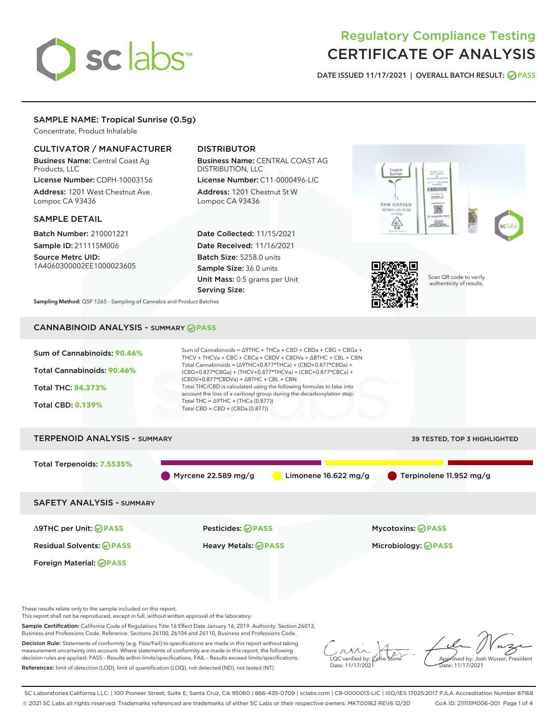# sclabs<sup>\*</sup>

# Regulatory Compliance Testing CERTIFICATE OF ANALYSIS

DATE ISSUED 11/17/2021 | OVERALL BATCH RESULT: @ PASS

#### SAMPLE NAME: Tropical Sunrise (0.5g)

Concentrate, Product Inhalable

#### CULTIVATOR / MANUFACTURER

Business Name: Central Coast Ag Products, LLC

License Number: CDPH-10003156 Address: 1201 West Chestnut Ave. Lompoc CA 93436

#### SAMPLE DETAIL

Batch Number: 210001221 Sample ID: 211115M006

Source Metrc UID: 1A4060300002EE1000023605

### DISTRIBUTOR

Business Name: CENTRAL COAST AG DISTRIBUTION, LLC

License Number: C11-0000496-LIC Address: 1201 Chestnut St W Lompoc CA 93436

Date Collected: 11/15/2021 Date Received: 11/16/2021 Batch Size: 5258.0 units Sample Size: 36.0 units Unit Mass: 0.5 grams per Unit Serving Size:





Scan QR code to verify authenticity of results.

Sampling Method: QSP 1265 - Sampling of Cannabis and Product Batches

## CANNABINOID ANALYSIS - SUMMARY **PASS**



These results relate only to the sample included on this report.

This report shall not be reproduced, except in full, without written approval of the laboratory.

Sample Certification: California Code of Regulations Title 16 Effect Date January 16, 2019. Authority: Section 26013, Business and Professions Code. Reference: Sections 26100, 26104 and 26110, Business and Professions Code.

Decision Rule: Statements of conformity (e.g. Pass/Fail) to specifications are made in this report without taking measurement uncertainty into account. Where statements of conformity are made in this report, the following decision rules are applied: PASS – Results within limits/specifications, FAIL – Results exceed limits/specifications. References: limit of detection (LOD), limit of quantification (LOQ), not detected (ND), not tested (NT)

 $\overline{\text{LOC}}$  verified by:  $\mathcal{C}_i$ Date: 11/17/202<sup>1</sup>

Approved by: Josh Wurzer, President ..<br>te: 11/17/2021

SC Laboratories California LLC. | 100 Pioneer Street, Suite E, Santa Cruz, CA 95060 | 866-435-0709 | sclabs.com | C8-0000013-LIC | ISO/IES 17025:2017 PJLA Accreditation Number 87168 © 2021 SC Labs all rights reserved. Trademarks referenced are trademarks of either SC Labs or their respective owners. MKT00162 REV6 12/20 CoA ID: 211115M006-001 Page 1 of 4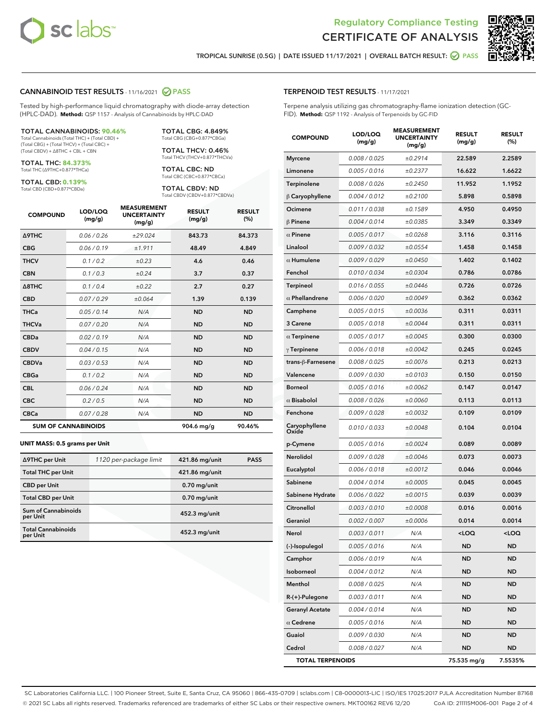

Terpene analysis utilizing gas chromatography-flame ionization detection (GC-



TROPICAL SUNRISE (0.5G) | DATE ISSUED 11/17/2021 | OVERALL BATCH RESULT: **● PASS** 

TERPENOID TEST RESULTS - 11/17/2021

FID). **Method:** QSP 1192 - Analysis of Terpenoids by GC-FID

#### CANNABINOID TEST RESULTS - 11/16/2021 2 PASS

Tested by high-performance liquid chromatography with diode-array detection (HPLC-DAD). **Method:** QSP 1157 - Analysis of Cannabinoids by HPLC-DAD

#### TOTAL CANNABINOIDS: **90.46%**

Total Cannabinoids (Total THC) + (Total CBD) + (Total CBG) + (Total THCV) + (Total CBC) + (Total CBDV) + ∆8THC + CBL + CBN

TOTAL THC: **84.373%** Total THC (∆9THC+0.877\*THCa)

TOTAL CBD: **0.139%**

Total CBD (CBD+0.877\*CBDa)

TOTAL CBG: 4.849% Total CBG (CBG+0.877\*CBGa)

TOTAL THCV: 0.46% Total THCV (THCV+0.877\*THCVa)

TOTAL CBC: ND Total CBC (CBC+0.877\*CBCa)

TOTAL CBDV: ND Total CBDV (CBDV+0.877\*CBDVa)

| <b>COMPOUND</b>  | LOD/LOQ<br>(mg/g)          | <b>MEASUREMENT</b><br><b>UNCERTAINTY</b><br>(mg/g) | <b>RESULT</b><br>(mg/g) | <b>RESULT</b><br>(%) |
|------------------|----------------------------|----------------------------------------------------|-------------------------|----------------------|
| <b>A9THC</b>     | 0.06 / 0.26                | ±29.024                                            | 843.73                  | 84.373               |
| <b>CBG</b>       | 0.06/0.19                  | ±1.911                                             | 48.49                   | 4.849                |
| <b>THCV</b>      | 0.1/0.2                    | $\pm 0.23$                                         | 4.6                     | 0.46                 |
| <b>CBN</b>       | 0.1/0.3                    | ±0.24                                              | 3.7                     | 0.37                 |
| $\triangle$ 8THC | 0.1/0.4                    | ±0.22                                              | 2.7                     | 0.27                 |
| <b>CBD</b>       | 0.07/0.29                  | ±0.064                                             | 1.39                    | 0.139                |
| <b>THCa</b>      | 0.05/0.14                  | N/A                                                | <b>ND</b>               | <b>ND</b>            |
| <b>THCVa</b>     | 0.07/0.20                  | N/A                                                | <b>ND</b>               | <b>ND</b>            |
| <b>CBDa</b>      | 0.02/0.19                  | N/A                                                | <b>ND</b>               | <b>ND</b>            |
| <b>CBDV</b>      | 0.04 / 0.15                | N/A                                                | <b>ND</b>               | <b>ND</b>            |
| <b>CBDVa</b>     | 0.03/0.53                  | N/A                                                | <b>ND</b>               | <b>ND</b>            |
| <b>CBGa</b>      | 0.1/0.2                    | N/A                                                | <b>ND</b>               | <b>ND</b>            |
| <b>CBL</b>       | 0.06 / 0.24                | N/A                                                | <b>ND</b>               | <b>ND</b>            |
| <b>CBC</b>       | 0.2 / 0.5                  | N/A                                                | <b>ND</b>               | <b>ND</b>            |
| <b>CBCa</b>      | 0.07 / 0.28                | N/A                                                | <b>ND</b>               | <b>ND</b>            |
|                  | <b>SUM OF CANNABINOIDS</b> |                                                    | 904.6 mg/g              | 90.46%               |

#### **UNIT MASS: 0.5 grams per Unit**

| ∆9THC per Unit                         | 1120 per-package limit | 421.86 mg/unit  | <b>PASS</b> |
|----------------------------------------|------------------------|-----------------|-------------|
| <b>Total THC per Unit</b>              |                        | 421.86 mg/unit  |             |
| <b>CBD</b> per Unit                    |                        | $0.70$ mg/unit  |             |
| <b>Total CBD per Unit</b>              |                        | $0.70$ mg/unit  |             |
| <b>Sum of Cannabinoids</b><br>per Unit |                        | 452.3 mg/unit   |             |
| <b>Total Cannabinoids</b><br>per Unit  |                        | $452.3$ mg/unit |             |

| <b>COMPOUND</b>         | LOD/LOQ<br>(mg/g) | <b>MEASUREMENT</b><br><b>UNCERTAINTY</b><br>(mg/g) | <b>RESULT</b><br>(mg/g)                         | <b>RESULT</b><br>(%) |
|-------------------------|-------------------|----------------------------------------------------|-------------------------------------------------|----------------------|
| <b>Myrcene</b>          | 0.008 / 0.025     | ±0.2914                                            | 22.589                                          | 2.2589               |
| Limonene                | 0.005 / 0.016     | ±0.2377                                            | 16.622                                          | 1.6622               |
| Terpinolene             | 0.008 / 0.026     | ±0.2450                                            | 11.952                                          | 1.1952               |
| $\beta$ Caryophyllene   | 0.004 / 0.012     | ±0.2100                                            | 5.898                                           | 0.5898               |
| Ocimene                 | 0.011 / 0.038     | ±0.1589                                            | 4.950                                           | 0.4950               |
| <b>B</b> Pinene         | 0.004 / 0.014     | ±0.0385                                            | 3.349                                           | 0.3349               |
| $\alpha$ Pinene         | 0.005 / 0.017     | ±0.0268                                            | 3.116                                           | 0.3116               |
| Linalool                | 0.009 / 0.032     | ±0.0554                                            | 1.458                                           | 0.1458               |
| $\alpha$ Humulene       | 0.009 / 0.029     | ±0.0450                                            | 1.402                                           | 0.1402               |
| Fenchol                 | 0.010 / 0.034     | ±0.0304                                            | 0.786                                           | 0.0786               |
| Terpineol               | 0.016 / 0.055     | ±0.0446                                            | 0.726                                           | 0.0726               |
| $\alpha$ Phellandrene   | 0.006 / 0.020     | ±0.0049                                            | 0.362                                           | 0.0362               |
| Camphene                | 0.005 / 0.015     | ±0.0036                                            | 0.311                                           | 0.0311               |
| 3 Carene                | 0.005 / 0.018     | ±0.0044                                            | 0.311                                           | 0.0311               |
| $\alpha$ Terpinene      | 0.005 / 0.017     | ±0.0045                                            | 0.300                                           | 0.0300               |
| $\gamma$ Terpinene      | 0.006 / 0.018     | ±0.0042                                            | 0.245                                           | 0.0245               |
| trans-ß-Farnesene       | 0.008 / 0.025     | ±0.0076                                            | 0.213                                           | 0.0213               |
| Valencene               | 0.009 / 0.030     | ±0.0103                                            | 0.150                                           | 0.0150               |
| <b>Borneol</b>          | 0.005 / 0.016     | ±0.0062                                            | 0.147                                           | 0.0147               |
| $\alpha$ Bisabolol      | 0.008 / 0.026     | ±0.0060                                            | 0.113                                           | 0.0113               |
| Fenchone                | 0.009 / 0.028     | ±0.0032                                            | 0.109                                           | 0.0109               |
| Caryophyllene<br>Oxide  | 0.010 / 0.033     | ±0.0048                                            | 0.104                                           | 0.0104               |
| p-Cymene                | 0.005 / 0.016     | ±0.0024                                            | 0.089                                           | 0.0089               |
| Nerolidol               | 0.009 / 0.028     | ±0.0046                                            | 0.073                                           | 0.0073               |
| Eucalyptol              | 0.006 / 0.018     | ±0.0012                                            | 0.046                                           | 0.0046               |
| Sabinene                | 0.004 / 0.014     | ±0.0005                                            | 0.045                                           | 0.0045               |
| Sabinene Hydrate        | 0.006 / 0.022     | ±0.0015                                            | 0.039                                           | 0.0039               |
| Citronellol             | 0.003 / 0.010     | ±0.0008                                            | 0.016                                           | 0.0016               |
| Geraniol                | 0.002 / 0.007     | ±0.0006                                            | 0.014                                           | 0.0014               |
| Nerol                   | 0.003 / 0.011     | N/A                                                | <loq< th=""><th><loq< th=""></loq<></th></loq<> | <loq< th=""></loq<>  |
| (-)-Isopulegol          | 0.005 / 0.016     | N/A                                                | ND                                              | <b>ND</b>            |
| Camphor                 | 0.006 / 0.019     | N/A                                                | ND                                              | <b>ND</b>            |
| Isoborneol              | 0.004 / 0.012     | N/A                                                | ND                                              | <b>ND</b>            |
| Menthol                 | 0.008 / 0.025     | N/A                                                | ND                                              | <b>ND</b>            |
| R-(+)-Pulegone          | 0.003 / 0.011     | N/A                                                | <b>ND</b>                                       | <b>ND</b>            |
| <b>Geranyl Acetate</b>  | 0.004 / 0.014     | N/A                                                | ND                                              | <b>ND</b>            |
| $\alpha$ Cedrene        | 0.005 / 0.016     | N/A                                                | ND                                              | <b>ND</b>            |
| Guaiol                  | 0.009 / 0.030     | N/A                                                | ND                                              | ND                   |
| Cedrol                  | 0.008 / 0.027     | N/A                                                | ND                                              | <b>ND</b>            |
| <b>TOTAL TERPENOIDS</b> |                   |                                                    | 75.535 mg/g                                     | 7.5535%              |

SC Laboratories California LLC. | 100 Pioneer Street, Suite E, Santa Cruz, CA 95060 | 866-435-0709 | sclabs.com | C8-0000013-LIC | ISO/IES 17025:2017 PJLA Accreditation Number 87168 © 2021 SC Labs all rights reserved. Trademarks referenced are trademarks of either SC Labs or their respective owners. MKT00162 REV6 12/20 CoA ID: 211115M006-001 Page 2 of 4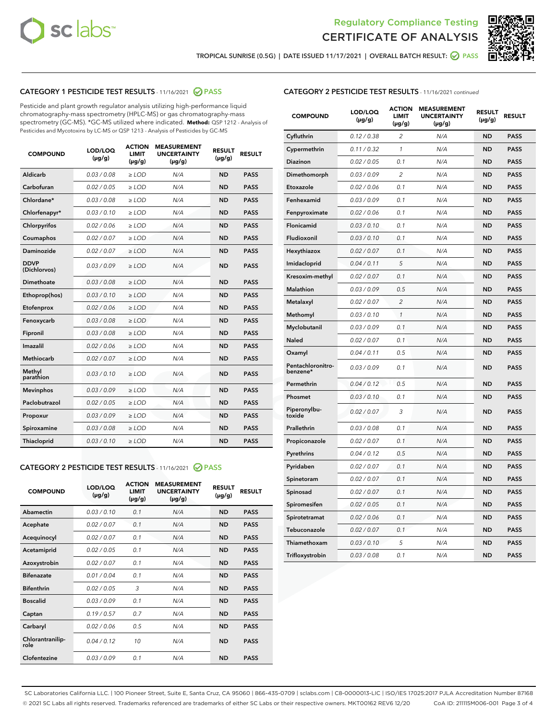



TROPICAL SUNRISE (0.5G) | DATE ISSUED 11/17/2021 | OVERALL BATCH RESULT: ☑ PASS

#### CATEGORY 1 PESTICIDE TEST RESULTS - 11/16/2021 @ PASS

Pesticide and plant growth regulator analysis utilizing high-performance liquid chromatography-mass spectrometry (HPLC-MS) or gas chromatography-mass spectrometry (GC-MS). \*GC-MS utilized where indicated. **Method:** QSP 1212 - Analysis of Pesticides and Mycotoxins by LC-MS or QSP 1213 - Analysis of Pesticides by GC-MS

| <b>Aldicarb</b><br>0.03 / 0.08<br><b>ND</b><br>$\ge$ LOD<br>N/A<br><b>PASS</b><br>Carbofuran<br>0.02/0.05<br>$\ge$ LOD<br>N/A<br><b>ND</b><br><b>PASS</b><br>Chlordane*<br>0.03 / 0.08<br><b>ND</b><br>$>$ LOD<br>N/A<br><b>PASS</b><br>0.03/0.10<br><b>ND</b><br><b>PASS</b><br>Chlorfenapyr*<br>$\ge$ LOD<br>N/A<br>0.02 / 0.06<br>N/A<br><b>ND</b><br><b>PASS</b><br>Chlorpyrifos<br>$\ge$ LOD<br>0.02 / 0.07<br>N/A<br><b>ND</b><br><b>PASS</b><br>Coumaphos<br>$>$ LOD<br>Daminozide<br>0.02 / 0.07<br>$\ge$ LOD<br>N/A<br><b>ND</b><br><b>PASS</b><br><b>DDVP</b><br>0.03/0.09<br>$\ge$ LOD<br>N/A<br><b>ND</b><br><b>PASS</b><br>(Dichlorvos)<br>Dimethoate<br><b>ND</b><br><b>PASS</b><br>0.03 / 0.08<br>$>$ LOD<br>N/A<br>0.03/0.10<br>Ethoprop(hos)<br>$\ge$ LOD<br>N/A<br><b>ND</b><br><b>PASS</b><br>0.02 / 0.06<br>$\ge$ LOD<br>N/A<br><b>ND</b><br><b>PASS</b><br>Etofenprox<br>Fenoxycarb<br>0.03 / 0.08<br>$>$ LOD<br>N/A<br><b>ND</b><br><b>PASS</b><br>0.03 / 0.08<br><b>ND</b><br><b>PASS</b><br>Fipronil<br>$\ge$ LOD<br>N/A<br>Imazalil<br>0.02 / 0.06<br>$>$ LOD<br>N/A<br><b>ND</b><br><b>PASS</b><br>0.02 / 0.07<br>Methiocarb<br>N/A<br><b>ND</b><br>$>$ LOD<br><b>PASS</b><br>Methyl<br>0.03/0.10<br>$\ge$ LOD<br>N/A<br><b>ND</b><br><b>PASS</b><br>parathion<br>0.03/0.09<br>$\ge$ LOD<br>N/A<br><b>ND</b><br><b>PASS</b><br><b>Mevinphos</b><br>Paclobutrazol<br>0.02 / 0.05<br>$\ge$ LOD<br>N/A<br><b>ND</b><br><b>PASS</b><br>0.03/0.09<br>N/A<br>$\ge$ LOD<br><b>ND</b><br><b>PASS</b><br>Propoxur<br>0.03 / 0.08<br><b>ND</b><br><b>PASS</b><br>Spiroxamine<br>$\ge$ LOD<br>N/A<br><b>PASS</b><br>Thiacloprid<br>0.03/0.10<br>$\ge$ LOD<br>N/A<br><b>ND</b> | <b>COMPOUND</b> | LOD/LOQ<br>$(\mu g/g)$ | <b>ACTION</b><br>LIMIT<br>$(\mu g/g)$ | <b>MEASUREMENT</b><br><b>UNCERTAINTY</b><br>$(\mu g/g)$ | <b>RESULT</b><br>$(\mu g/g)$ | <b>RESULT</b> |
|----------------------------------------------------------------------------------------------------------------------------------------------------------------------------------------------------------------------------------------------------------------------------------------------------------------------------------------------------------------------------------------------------------------------------------------------------------------------------------------------------------------------------------------------------------------------------------------------------------------------------------------------------------------------------------------------------------------------------------------------------------------------------------------------------------------------------------------------------------------------------------------------------------------------------------------------------------------------------------------------------------------------------------------------------------------------------------------------------------------------------------------------------------------------------------------------------------------------------------------------------------------------------------------------------------------------------------------------------------------------------------------------------------------------------------------------------------------------------------------------------------------------------------------------------------------------------------------------------------------------------------------------------------------------------------------------|-----------------|------------------------|---------------------------------------|---------------------------------------------------------|------------------------------|---------------|
|                                                                                                                                                                                                                                                                                                                                                                                                                                                                                                                                                                                                                                                                                                                                                                                                                                                                                                                                                                                                                                                                                                                                                                                                                                                                                                                                                                                                                                                                                                                                                                                                                                                                                              |                 |                        |                                       |                                                         |                              |               |
|                                                                                                                                                                                                                                                                                                                                                                                                                                                                                                                                                                                                                                                                                                                                                                                                                                                                                                                                                                                                                                                                                                                                                                                                                                                                                                                                                                                                                                                                                                                                                                                                                                                                                              |                 |                        |                                       |                                                         |                              |               |
|                                                                                                                                                                                                                                                                                                                                                                                                                                                                                                                                                                                                                                                                                                                                                                                                                                                                                                                                                                                                                                                                                                                                                                                                                                                                                                                                                                                                                                                                                                                                                                                                                                                                                              |                 |                        |                                       |                                                         |                              |               |
|                                                                                                                                                                                                                                                                                                                                                                                                                                                                                                                                                                                                                                                                                                                                                                                                                                                                                                                                                                                                                                                                                                                                                                                                                                                                                                                                                                                                                                                                                                                                                                                                                                                                                              |                 |                        |                                       |                                                         |                              |               |
|                                                                                                                                                                                                                                                                                                                                                                                                                                                                                                                                                                                                                                                                                                                                                                                                                                                                                                                                                                                                                                                                                                                                                                                                                                                                                                                                                                                                                                                                                                                                                                                                                                                                                              |                 |                        |                                       |                                                         |                              |               |
|                                                                                                                                                                                                                                                                                                                                                                                                                                                                                                                                                                                                                                                                                                                                                                                                                                                                                                                                                                                                                                                                                                                                                                                                                                                                                                                                                                                                                                                                                                                                                                                                                                                                                              |                 |                        |                                       |                                                         |                              |               |
|                                                                                                                                                                                                                                                                                                                                                                                                                                                                                                                                                                                                                                                                                                                                                                                                                                                                                                                                                                                                                                                                                                                                                                                                                                                                                                                                                                                                                                                                                                                                                                                                                                                                                              |                 |                        |                                       |                                                         |                              |               |
|                                                                                                                                                                                                                                                                                                                                                                                                                                                                                                                                                                                                                                                                                                                                                                                                                                                                                                                                                                                                                                                                                                                                                                                                                                                                                                                                                                                                                                                                                                                                                                                                                                                                                              |                 |                        |                                       |                                                         |                              |               |
|                                                                                                                                                                                                                                                                                                                                                                                                                                                                                                                                                                                                                                                                                                                                                                                                                                                                                                                                                                                                                                                                                                                                                                                                                                                                                                                                                                                                                                                                                                                                                                                                                                                                                              |                 |                        |                                       |                                                         |                              |               |
|                                                                                                                                                                                                                                                                                                                                                                                                                                                                                                                                                                                                                                                                                                                                                                                                                                                                                                                                                                                                                                                                                                                                                                                                                                                                                                                                                                                                                                                                                                                                                                                                                                                                                              |                 |                        |                                       |                                                         |                              |               |
|                                                                                                                                                                                                                                                                                                                                                                                                                                                                                                                                                                                                                                                                                                                                                                                                                                                                                                                                                                                                                                                                                                                                                                                                                                                                                                                                                                                                                                                                                                                                                                                                                                                                                              |                 |                        |                                       |                                                         |                              |               |
|                                                                                                                                                                                                                                                                                                                                                                                                                                                                                                                                                                                                                                                                                                                                                                                                                                                                                                                                                                                                                                                                                                                                                                                                                                                                                                                                                                                                                                                                                                                                                                                                                                                                                              |                 |                        |                                       |                                                         |                              |               |
|                                                                                                                                                                                                                                                                                                                                                                                                                                                                                                                                                                                                                                                                                                                                                                                                                                                                                                                                                                                                                                                                                                                                                                                                                                                                                                                                                                                                                                                                                                                                                                                                                                                                                              |                 |                        |                                       |                                                         |                              |               |
|                                                                                                                                                                                                                                                                                                                                                                                                                                                                                                                                                                                                                                                                                                                                                                                                                                                                                                                                                                                                                                                                                                                                                                                                                                                                                                                                                                                                                                                                                                                                                                                                                                                                                              |                 |                        |                                       |                                                         |                              |               |
|                                                                                                                                                                                                                                                                                                                                                                                                                                                                                                                                                                                                                                                                                                                                                                                                                                                                                                                                                                                                                                                                                                                                                                                                                                                                                                                                                                                                                                                                                                                                                                                                                                                                                              |                 |                        |                                       |                                                         |                              |               |
|                                                                                                                                                                                                                                                                                                                                                                                                                                                                                                                                                                                                                                                                                                                                                                                                                                                                                                                                                                                                                                                                                                                                                                                                                                                                                                                                                                                                                                                                                                                                                                                                                                                                                              |                 |                        |                                       |                                                         |                              |               |
|                                                                                                                                                                                                                                                                                                                                                                                                                                                                                                                                                                                                                                                                                                                                                                                                                                                                                                                                                                                                                                                                                                                                                                                                                                                                                                                                                                                                                                                                                                                                                                                                                                                                                              |                 |                        |                                       |                                                         |                              |               |
|                                                                                                                                                                                                                                                                                                                                                                                                                                                                                                                                                                                                                                                                                                                                                                                                                                                                                                                                                                                                                                                                                                                                                                                                                                                                                                                                                                                                                                                                                                                                                                                                                                                                                              |                 |                        |                                       |                                                         |                              |               |
|                                                                                                                                                                                                                                                                                                                                                                                                                                                                                                                                                                                                                                                                                                                                                                                                                                                                                                                                                                                                                                                                                                                                                                                                                                                                                                                                                                                                                                                                                                                                                                                                                                                                                              |                 |                        |                                       |                                                         |                              |               |
|                                                                                                                                                                                                                                                                                                                                                                                                                                                                                                                                                                                                                                                                                                                                                                                                                                                                                                                                                                                                                                                                                                                                                                                                                                                                                                                                                                                                                                                                                                                                                                                                                                                                                              |                 |                        |                                       |                                                         |                              |               |
|                                                                                                                                                                                                                                                                                                                                                                                                                                                                                                                                                                                                                                                                                                                                                                                                                                                                                                                                                                                                                                                                                                                                                                                                                                                                                                                                                                                                                                                                                                                                                                                                                                                                                              |                 |                        |                                       |                                                         |                              |               |

#### CATEGORY 2 PESTICIDE TEST RESULTS - 11/16/2021 @ PASS

| <b>COMPOUND</b>          | LOD/LOO<br>$(\mu g/g)$ | <b>ACTION</b><br>LIMIT<br>$(\mu g/g)$ | <b>MEASUREMENT</b><br><b>UNCERTAINTY</b><br>$(\mu g/g)$ | <b>RESULT</b><br>$(\mu g/g)$ | <b>RESULT</b> |  |
|--------------------------|------------------------|---------------------------------------|---------------------------------------------------------|------------------------------|---------------|--|
| Abamectin                | 0.03/0.10              | 0.1                                   | N/A                                                     | <b>ND</b>                    | <b>PASS</b>   |  |
| Acephate                 | 0.02/0.07              | 0.1                                   | N/A                                                     | <b>ND</b>                    | <b>PASS</b>   |  |
| Acequinocyl              | 0.02/0.07              | 0.1                                   | N/A                                                     | <b>ND</b>                    | <b>PASS</b>   |  |
| Acetamiprid              | 0.02 / 0.05            | 0.1                                   | N/A                                                     | <b>ND</b>                    | <b>PASS</b>   |  |
| Azoxystrobin             | 0.02/0.07              | 0.1                                   | N/A                                                     | <b>ND</b>                    | <b>PASS</b>   |  |
| <b>Bifenazate</b>        | 0.01 / 0.04            | 0.1                                   | N/A                                                     | <b>ND</b>                    | <b>PASS</b>   |  |
| <b>Bifenthrin</b>        | 0.02 / 0.05            | 3                                     | N/A                                                     | <b>ND</b>                    | <b>PASS</b>   |  |
| <b>Boscalid</b>          | 0.03/0.09              | 0.1                                   | N/A                                                     | <b>ND</b>                    | <b>PASS</b>   |  |
| Captan                   | 0.19/0.57              | 0.7                                   | N/A                                                     | <b>ND</b>                    | <b>PASS</b>   |  |
| Carbaryl                 | 0.02/0.06              | 0.5                                   | N/A                                                     | <b>ND</b>                    | <b>PASS</b>   |  |
| Chlorantranilip-<br>role | 0.04/0.12              | 10                                    | N/A                                                     | <b>ND</b>                    | <b>PASS</b>   |  |
| Clofentezine             | 0.03/0.09              | 0.1                                   | N/A                                                     | <b>ND</b>                    | <b>PASS</b>   |  |

#### CATEGORY 2 PESTICIDE TEST RESULTS - 11/16/2021 continued

| <b>COMPOUND</b>               | LOD/LOQ<br>$(\mu g/g)$ | <b>ACTION</b><br><b>LIMIT</b><br>$(\mu g/g)$ | <b>MEASUREMENT</b><br><b>UNCERTAINTY</b><br>$(\mu g/g)$ | <b>RESULT</b><br>(µg/g) | <b>RESULT</b> |
|-------------------------------|------------------------|----------------------------------------------|---------------------------------------------------------|-------------------------|---------------|
| Cyfluthrin                    | 0.12 / 0.38            | $\overline{c}$                               | N/A                                                     | <b>ND</b>               | <b>PASS</b>   |
| Cypermethrin                  | 0.11 / 0.32            | 1                                            | N/A                                                     | ND                      | PASS          |
| Diazinon                      | 0.02 / 0.05            | 0.1                                          | N/A                                                     | <b>ND</b>               | <b>PASS</b>   |
| Dimethomorph                  | 0.03 / 0.09            | $\overline{2}$                               | N/A                                                     | <b>ND</b>               | <b>PASS</b>   |
| Etoxazole                     | 0.02 / 0.06            | 0.1                                          | N/A                                                     | ND                      | <b>PASS</b>   |
| Fenhexamid                    | 0.03 / 0.09            | 0.1                                          | N/A                                                     | <b>ND</b>               | <b>PASS</b>   |
| Fenpyroximate                 | 0.02 / 0.06            | 0.1                                          | N/A                                                     | <b>ND</b>               | PASS          |
| Flonicamid                    | 0.03 / 0.10            | 0.1                                          | N/A                                                     | <b>ND</b>               | <b>PASS</b>   |
| Fludioxonil                   | 0.03 / 0.10            | 0.1                                          | N/A                                                     | <b>ND</b>               | <b>PASS</b>   |
| Hexythiazox                   | 0.02 / 0.07            | 0.1                                          | N/A                                                     | <b>ND</b>               | <b>PASS</b>   |
| Imidacloprid                  | 0.04 / 0.11            | 5                                            | N/A                                                     | <b>ND</b>               | <b>PASS</b>   |
| Kresoxim-methyl               | 0.02 / 0.07            | 0.1                                          | N/A                                                     | <b>ND</b>               | <b>PASS</b>   |
| <b>Malathion</b>              | 0.03 / 0.09            | 0.5                                          | N/A                                                     | <b>ND</b>               | <b>PASS</b>   |
| Metalaxyl                     | 0.02 / 0.07            | $\overline{c}$                               | N/A                                                     | <b>ND</b>               | <b>PASS</b>   |
| Methomyl                      | 0.03 / 0.10            | 1                                            | N/A                                                     | <b>ND</b>               | <b>PASS</b>   |
| Myclobutanil                  | 0.03 / 0.09            | 0.1                                          | N/A                                                     | <b>ND</b>               | <b>PASS</b>   |
| Naled                         | 0.02 / 0.07            | 0.1                                          | N/A                                                     | ND                      | <b>PASS</b>   |
| Oxamyl                        | 0.04 / 0.11            | 0.5                                          | N/A                                                     | ND                      | <b>PASS</b>   |
| Pentachloronitro-<br>benzene* | 0.03 / 0.09            | 0.1                                          | N/A                                                     | <b>ND</b>               | <b>PASS</b>   |
| Permethrin                    | 0.04 / 0.12            | 0.5                                          | N/A                                                     | <b>ND</b>               | <b>PASS</b>   |
| Phosmet                       | 0.03 / 0.10            | 0.1                                          | N/A                                                     | ND                      | <b>PASS</b>   |
| Piperonylbu-<br>toxide        | 0.02 / 0.07            | 3                                            | N/A                                                     | <b>ND</b>               | <b>PASS</b>   |
| Prallethrin                   | 0.03 / 0.08            | 0.1                                          | N/A                                                     | <b>ND</b>               | <b>PASS</b>   |
| Propiconazole                 | 0.02 / 0.07            | 0.1                                          | N/A                                                     | ND                      | <b>PASS</b>   |
| Pyrethrins                    | 0.04 / 0.12            | 0.5                                          | N/A                                                     | ND                      | <b>PASS</b>   |
| Pyridaben                     | 0.02 / 0.07            | 0.1                                          | N/A                                                     | <b>ND</b>               | <b>PASS</b>   |
| Spinetoram                    | 0.02 / 0.07            | 0.1                                          | N/A                                                     | <b>ND</b>               | <b>PASS</b>   |
| Spinosad                      | 0.02 / 0.07            | 0.1                                          | N/A                                                     | ND                      | <b>PASS</b>   |
| Spiromesifen                  | 0.02 / 0.05            | 0.1                                          | N/A                                                     | <b>ND</b>               | <b>PASS</b>   |
| Spirotetramat                 | 0.02 / 0.06            | 0.1                                          | N/A                                                     | <b>ND</b>               | <b>PASS</b>   |
| Tebuconazole                  | 0.02 / 0.07            | 0.1                                          | N/A                                                     | ND                      | PASS          |
| Thiamethoxam                  | 0.03 / 0.10            | 5                                            | N/A                                                     | ND                      | <b>PASS</b>   |
| Trifloxystrobin               | 0.03 / 0.08            | 0.1                                          | N/A                                                     | <b>ND</b>               | <b>PASS</b>   |

SC Laboratories California LLC. | 100 Pioneer Street, Suite E, Santa Cruz, CA 95060 | 866-435-0709 | sclabs.com | C8-0000013-LIC | ISO/IES 17025:2017 PJLA Accreditation Number 87168 © 2021 SC Labs all rights reserved. Trademarks referenced are trademarks of either SC Labs or their respective owners. MKT00162 REV6 12/20 CoA ID: 211115M006-001 Page 3 of 4